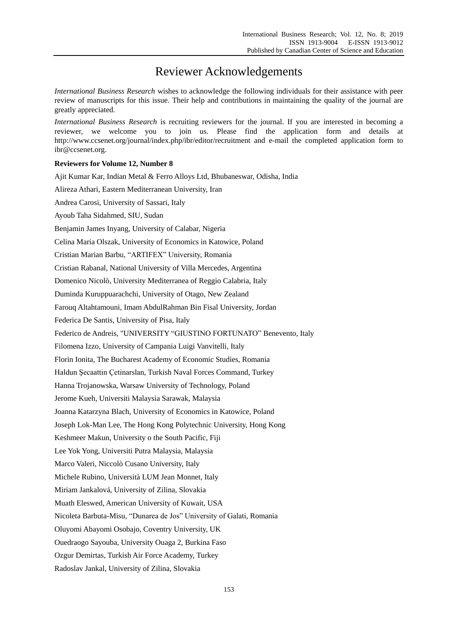## Reviewer Acknowledgements

*International Business Research* wishes to acknowledge the following individuals for their assistance with peer review of manuscripts for this issue. Their help and contributions in maintaining the quality of the journal are greatly appreciated.

*International Business Research* is recruiting reviewers for the journal. If you are interested in becoming a reviewer, we welcome you to join us. Please find the application form and details at http://www.ccsenet.org/journal/index.php/ibr/editor/recruitment and e-mail the completed application form to ibr@ccsenet.org.

## **Reviewers for Volume 12, Number 8**

Ajit Kumar Kar, Indian Metal & Ferro Alloys Ltd, Bhubaneswar, Odisha, India Alireza Athari, Eastern Mediterranean University, Iran Andrea Carosi, University of Sassari, Italy Ayoub Taha Sidahmed, SIU, Sudan Benjamin James Inyang, University of Calabar, Nigeria Celina Maria Olszak, University of Economics in Katowice, Poland Cristian Marian Barbu, "ARTIFEX" University, Romania Cristian Rabanal, National University of Villa Mercedes, Argentina Domenico Nicolò, University Mediterranea of Reggio Calabria, Italy Duminda Kuruppuarachchi, University of Otago, New Zealand Farouq Altahtamouni, Imam AbdulRahman Bin Fisal University, Jordan Federica De Santis, University of Pisa, Italy Federico de Andreis, "UNIVERSITY "GIUSTINO FORTUNATO" Benevento, Italy Filomena Izzo, University of Campania Luigi Vanvitelli, Italy Florin Ionita, The Bucharest Academy of Economic Studies, Romania Haldun Şecaattin Çetinarslan, Turkish Naval Forces Command, Turkey Hanna Trojanowska, Warsaw University of Technology, Poland Jerome Kueh, Universiti Malaysia Sarawak, Malaysia Joanna Katarzyna Blach, University of Economics in Katowice, Poland Joseph Lok-Man Lee, The Hong Kong Polytechnic University, Hong Kong Keshmeer Makun, University o the South Pacific, Fiji Lee Yok Yong, Universiti Putra Malaysia, Malaysia Marco Valeri, Niccolò Cusano University, Italy Michele Rubino, Università LUM Jean Monnet, Italy Miriam Jankalová, University of Zilina, Slovakia Muath Eleswed, American University of Kuwait, USA Nicoleta Barbuta-Misu, "Dunarea de Jos" University of Galati, Romania Oluyomi Abayomi Osobajo, Coventry University, UK Ouedraogo Sayouba, University Ouaga 2, Burkina Faso Ozgur Demirtas, Turkish Air Force Academy, Turkey Radoslav Jankal, University of Zilina, Slovakia